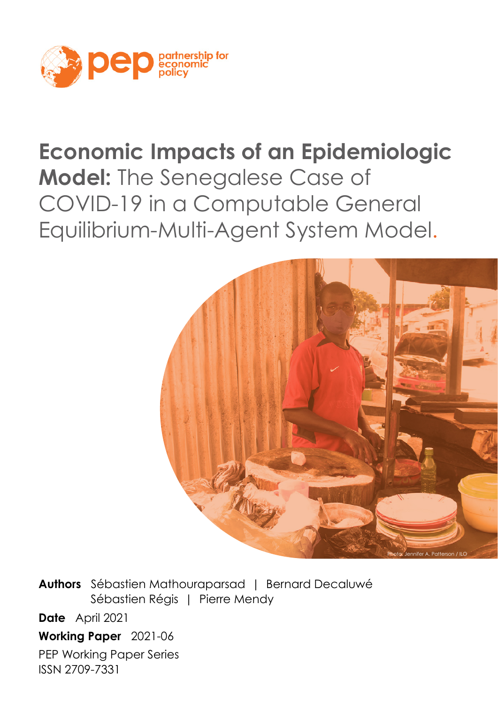

# **Economic Impacts of an Epidemiologic**

**Model:** The Senegalese Case of COVID-19 in a Computable General Equilibrium-Multi-Agent System Model.



**Authors** Sébastien Mathouraparsad | Bernard Decaluwé Sébastien Régis | Pierre Mendy **Date** April 2021

**Working Paper** 2021-06

PEP Working Paper Series ISSN 2709-7331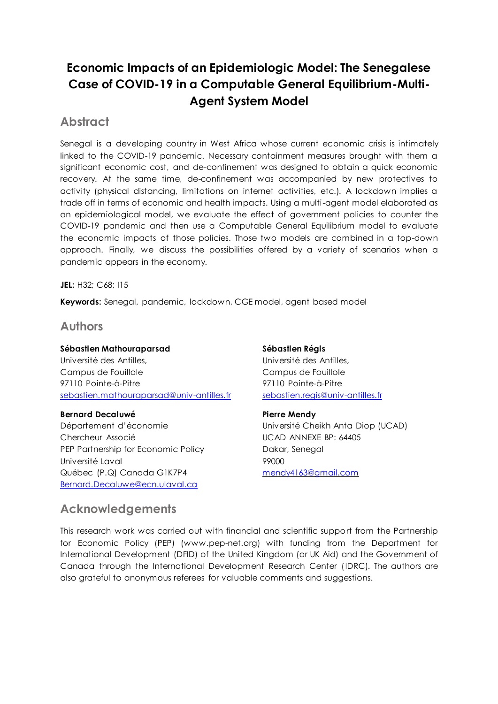## **Economic Impacts of an Epidemiologic Model: The Senegalese Case of COVID-19 in a Computable General Equilibrium-Multi-Agent System Model**

## **Abstract**

Senegal is a developing country in West Africa whose current economic crisis is intimately linked to the COVID-19 pandemic. Necessary containment measures brought with them a significant economic cost, and de-confinement was designed to obtain a quick economic recovery. At the same time, de-confinement was accompanied by new protectives to activity (physical distancing, limitations on internet activities, etc.). A lockdown implies a trade off in terms of economic and health impacts. Using a multi-agent model elaborated as an epidemiological model, we evaluate the effect of government policies to counter the COVID-19 pandemic and then use a Computable General Equilibrium model to evaluate the economic impacts of those policies. Those two models are combined in a top-down approach. Finally, we discuss the possibilities offered by a variety of scenarios when a pandemic appears in the economy.

**JEL:** H32; C68; I15

**Keywords:** Senegal, pandemic, lockdown, CGE model, agent based model

## **Authors**

**Sébastien Mathouraparsad**  Université des Antilles, Campus de Fouillole 97110 Pointe-à-Pitre [sebastien.mathouraparsad@univ-antilles.fr](mailto:sebastien.mathouraparsad@univ-antilles.fr)

## **Bernard Decaluwé**

Département d'économie Chercheur Associé PEP Partnership for Economic Policy Université Laval Québec (P.Q) Canada G1K7P4 [Bernard.Decaluwe@ecn.ulaval.ca](mailto:Bernard.Decaluwe@ecn.ulaval.ca)

## **Acknowledgements**

**Sébastien Régis**  Université des Antilles, Campus de Fouillole 97110 Pointe-à-Pitre [sebastien.regis@univ-antilles.fr](mailto:sebastien.regis@univ-antilles.fr)

## **Pierre Mendy**

Université Cheikh Anta Diop (UCAD) UCAD ANNEXE BP: 64405 Dakar, Senegal 99000 [mendy4163@gmail.com](mailto:mendy4163@gmail.com)

This research work was carried out with financial and scientific support from the Partnership for Economic Policy (PEP) (www.pep-net.org) with funding from the Department for International Development (DFID) of the United Kingdom (or UK Aid) and the Government of Canada through the International Development Research Center (IDRC). The authors are also grateful to anonymous referees for valuable comments and suggestions.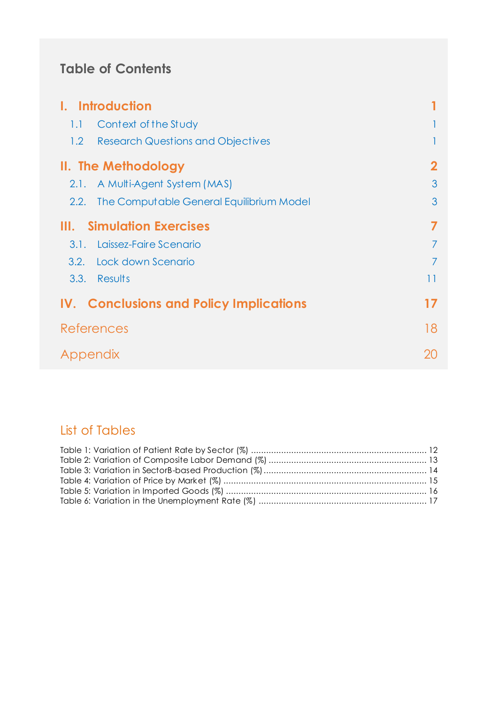# **Table of Contents**

|          | <b>Introduction</b>                            |    |
|----------|------------------------------------------------|----|
| 1.1      | Context of the Study                           |    |
| 1.2      | <b>Research Questions and Objectives</b>       |    |
|          | II. The Methodology                            |    |
| 2.1.     | A Multi-Agent System (MAS)                     | 3  |
| 2.2.     | The Computable General Equilibrium Model       | 3  |
| Ш.       | <b>Simulation Exercises</b>                    | 7  |
| 3.1.     | Laissez-Faire Scenario                         |    |
|          | 3.2. Lock down Scenario                        | 7  |
| 3.3.     | Results                                        | 11 |
|          | <b>IV. Conclusions and Policy Implications</b> | 17 |
|          | References                                     | 18 |
| Appendix |                                                | 20 |

# List of Tables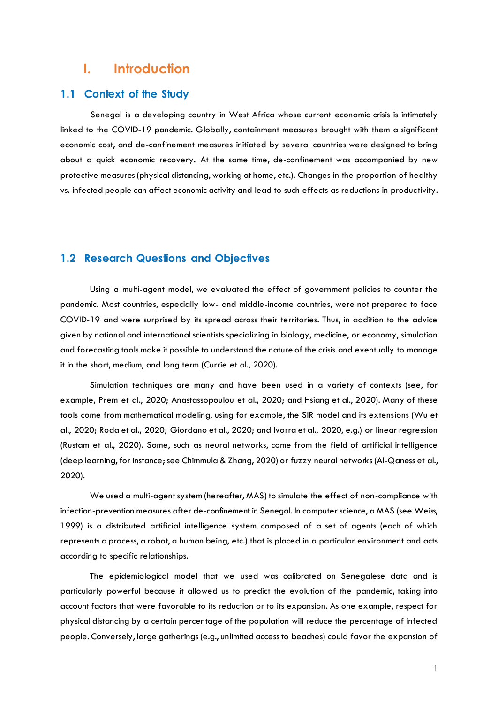## <span id="page-3-0"></span>**I. Introduction**

## <span id="page-3-1"></span>**1.1 Context of the Study**

 Senegal is a developing country in West Africa whose current economic crisis is intimately linked to the COVID-19 pandemic. Globally, containment measures brought with them a significant economic cost, and de-confinement measures initiated by several countries were designed to bring about a quick economic recovery. At the same time, de-confinement was accompanied by new protective measures (physical distancing, working at home, etc.). Changes in the proportion of healthy vs. infected people can affect economic activity and lead to such effects as reductions in productivity.

## <span id="page-3-2"></span>**1.2 Research Questions and Objectives**

Using a multi-agent model, we evaluated the effect of government policies to counter the pandemic. Most countries, especially low- and middle-income countries, were not prepared to face COVID-19 and were surprised by its spread across their territories. Thus, in addition to the advice given by national and international scientists specializing in biology, medicine, or economy, simulation and forecasting tools make it possible to understand the nature of the crisis and eventually to manage it in the short, medium, and long term (Currie et al., 2020).

 Simulation techniques are many and have been used in a variety of contexts (see, for example, Prem et al., 2020; Anastassopoulou et al., 2020; and Hsiang et al., 2020). Many of these tools come from mathematical modeling, using for example, the SIR model and its extensions (Wu et al., 2020; Roda et al., 2020; Giordano et al., 2020; and Ivorra et al., 2020, e.g.) or linear regression (Rustam et al., 2020). Some, such as neural networks, come from the field of artificial intelligence (deep learning, for instance; see Chimmula & Zhang, 2020) or fuzzy neural networks (Al-Qaness et al., 2020).

 We used a multi-agent system (hereafter, MAS) to simulate the effect of non-compliance with infection-prevention measures after de-confinement in Senegal. In computer science, a MAS (see Weiss, 1999) is a distributed artificial intelligence system composed of a set of agents (each of which represents a process, a robot, a human being, etc.) that is placed in a particular environment and acts according to specific relationships.

 The epidemiological model that we used was calibrated on Senegalese data and is particularly powerful because it allowed us to predict the evolution of the pandemic, taking into account factors that were favorable to its reduction or to its expansion. As one example, respect for physical distancing by a certain percentage of the population will reduce the percentage of infected people. Conversely, large gatherings (e.g., unlimited access to beaches) could favor the expansion of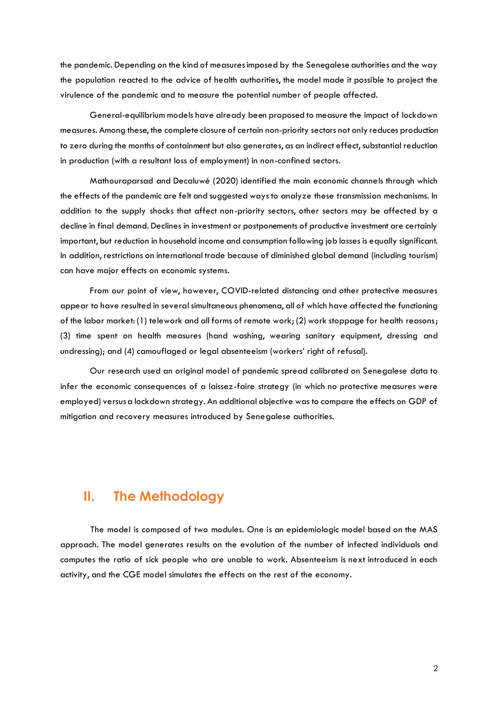the pandemic. Depending on the kind of measures imposed by the Senegalese authorities and the way the population reacted to the advice of health authorities, the model made it possible to project the virulence of the pandemic and to measure the potential number of people affected.

 General-equilibrium models have already been proposed to measure the impact of lockdown measures. Among these, the complete closure of certain non-priority sectors not only reduces production to zero during the months of containment but also generates, as an indirect effect, substantial reduction in production (with a resultant loss of employment) in non-confined sectors.

 Mathouraparsad and Decaluwé (2020) identified the main economic channels through which the effects of the pandemic are felt and suggested ways to analyze these transmission mechanisms. In addition to the supply shocks that affect non-priority sectors, other sectors may be affected by a decline in final demand. Declines in investment or postponements of productive investment are certainly important, but reduction in household income and consumption following job losses is equally significant. In addition, restrictions on international trade because of diminished global demand (including tourism) can have major effects on economic systems.

 From our point of view, however, COVID-related distancing and other protective measures appear to have resulted in several simultaneous phenomena, all of which have affected the functioning of the labor market: (1) telework and all forms of remote work; (2) work stoppage for health reasons; (3) time spent on health measures (hand washing, wearing sanitary equipment, dressing and undressing); and (4) camouflaged or legal absenteeism (workers' right of refusal).

 Our research used an original model of pandemic spread calibrated on Senegalese data to infer the economic consequences of a laissez-faire strategy (in which no protective measures were employed) versus a lockdown strategy. An additional objective was to compare the effects on GDP of mitigation and recovery measures introduced by Senegalese authorities.

## <span id="page-4-0"></span>**II. The Methodology**

 The model is composed of two modules. One is an epidemiologic model based on the MAS approach. The model generates results on the evolution of the number of infected individuals and computes the ratio of sick people who are unable to work. Absenteeism is next introduced in each activity, and the CGE model simulates the effects on the rest of the economy.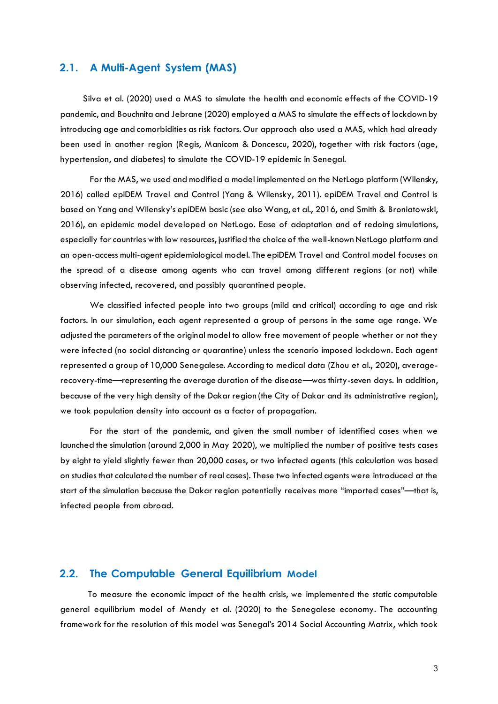## <span id="page-5-0"></span>**2.1. A Multi-Agent System (MAS)**

 Silva et al. (2020) used a MAS to simulate the health and economic effects of the COVID-19 pandemic, and Bouchnita and Jebrane (2020) employed a MAS to simulate the effects of lockdown by introducing age and comorbidities as risk factors. Our approach also used a MAS, which had already been used in another region (Regis, Manicom & Doncescu, 2020), together with risk factors (age, hypertension, and diabetes) to simulate the COVID-19 epidemic in Senegal.

 For the MAS, we used and modified a model implemented on the NetLogo platform (Wilensky, 2016) called epiDEM Travel and Control (Yang & Wilensky, 2011). epiDEM Travel and Control is based on Yang and Wilensky's epiDEM basic (see also Wang, et al., 2016, and Smith & Broniatowski, 2016), an epidemic model developed on NetLogo. Ease of adaptation and of redoing simulations, especially for countries with low resources, justified the choice of the well-known NetLogo platform and an open-access multi-agent epidemiological model. The epiDEM Travel and Control model focuses on the spread of a disease among agents who can travel among different regions (or not) while observing infected, recovered, and possibly quarantined people.

 We classified infected people into two groups (mild and critical) according to age and risk factors. In our simulation, each agent represented a group of persons in the same age range. We adjusted the parameters of the original model to allow free movement of people whether or not they were infected (no social distancing or quarantine) unless the scenario imposed lockdown. Each agent represented a group of 10,000 Senegalese. According to medical data (Zhou et al., 2020), averagerecovery-time—representing the average duration of the disease—was thirty-seven days. In addition, because of the very high density of the Dakar region (the City of Dakar and its administrative region), we took population density into account as a factor of propagation.

 For the start of the pandemic, and given the small number of identified cases when we launched the simulation (around 2,000 in May 2020), we multiplied the number of positive tests cases by eight to yield slightly fewer than 20,000 cases, or two infected agents (this calculation was based on studies that calculated the number of real cases). These two infected agents were introduced at the start of the simulation because the Dakar region potentially receives more "imported cases"—that is, infected people from abroad.

#### <span id="page-5-1"></span>**2.2. The Computable General Equilibrium Model**

 To measure the economic impact of the health crisis, we implemented the static computable general equilibrium model of Mendy et al. (2020) to the Senegalese economy. The accounting framework for the resolution of this model was Senegal's 2014 Social Accounting Matrix, which took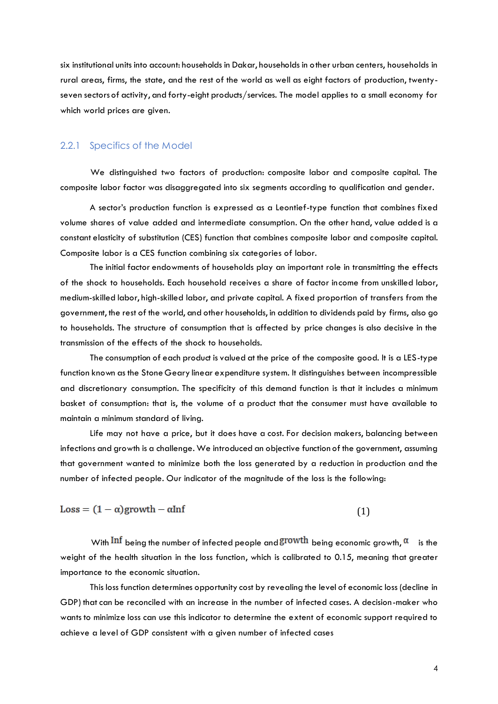six institutional units into account: households in Dakar, households in other urban centers, households in rural areas, firms, the state, and the rest of the world as well as eight factors of production, twentyseven sectors of activity, and forty-eight products/services. The model applies to a small economy for which world prices are given.

### 2.2.1 Specifics of the Model

 We distinguished two factors of production: composite labor and composite capital. The composite labor factor was disaggregated into six segments according to qualification and gender.

A sector's production function is expressed as a Leontief-type function that combines fixed volume shares of value added and intermediate consumption. On the other hand, value added is a constant elasticity of substitution (CES) function that combines composite labor and composite capital. Composite labor is a CES function combining six categories of labor.

 The initial factor endowments of households play an important role in transmitting the effects of the shock to households. Each household receives a share of factor income from unskilled labor, medium-skilled labor, high-skilled labor, and private capital. A fixed proportion of transfers from the government, the rest of the world, and other households, in addition to dividends paid by firms, also go to households. The structure of consumption that is affected by price changes is also decisive in the transmission of the effects of the shock to households.

 The consumption of each product is valued at the price of the composite good. It is a LES-type function known as the Stone Geary linear expenditure system. It distinguishes between incompressible and discretionary consumption. The specificity of this demand function is that it includes a minimum basket of consumption: that is, the volume of a product that the consumer must have available to maintain a minimum standard of living.

 Life may not have a price, but it does have a cost. For decision makers, balancing between infections and growth is a challenge. We introduced an objective function of the government, assuming that government wanted to minimize both the loss generated by a reduction in production and the number of infected people. Our indicator of the magnitude of the loss is the following:

$$
Loss = (1 - \alpha) \text{growth} - \alpha \text{Inf} \tag{1}
$$

With  $\text{Inf}$  being the number of infected people and  $\text{growth}$  being economic growth,  $\alpha$  is the weight of the health situation in the loss function, which is calibrated to 0.15, meaning that greater importance to the economic situation.

 This loss function determines opportunity cost by revealing the level of economic loss (decline in GDP) that can be reconciled with an increase in the number of infected cases. A decision-maker who wants to minimize loss can use this indicator to determine the extent of economic support required to achieve a level of GDP consistent with a given number of infected cases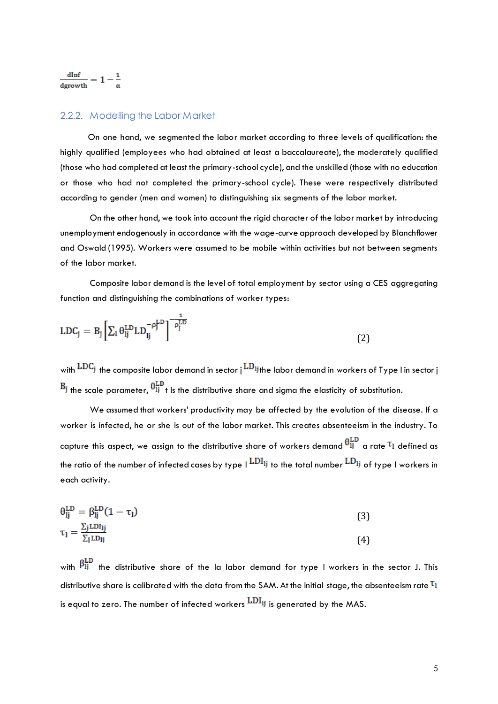#### 2.2.2. Modelling the Labor Market

 On one hand, we segmented the labor market according to three levels of qualification: the highly qualified (employees who had obtained at least a baccalaureate), the moderately qualified (those who had completed at least the primary-school cycle), and the unskilled (those with no education or those who had not completed the primary-school cycle). These were respectively distributed according to gender (men and women) to distinguishing six segments of the labor market.

 On the other hand, we took into account the rigid character of the labor market by introducing unemployment endogenously in accordance with the wage-curve approach developed by Blanchflower and Oswald (1995). Workers were assumed to be mobile within activities but not between segments of the labor market.

 Composite labor demand is the level of total employment by sector using a CES aggregating function and distinguishing the combinations of worker types:

$$
LDC_j = B_j \left[ \sum_l \theta_{lj}^{LD} LD_{lj}^{-\rho_j^{LD}} \right]^{-\frac{1}{\rho_j^{LD}}}
$$
\n(2)

with  $\text{LDC}_j$  the composite labor demand in sector j  $\text{LD}_{lj}$  the labor demand in workers of Type I in sector j  $B_j$  the scale parameter,  $\theta_{1j}^{\text{LD}}$  t is the distributive share and sigma the elasticity of substitution.

 We assumed that workers' productivity may be affected by the evolution of the disease. If a worker is infected, he or she is out of the labor market. This creates absenteeism in the industry. To capture this aspect, we assign to the distributive share of workers demand  $\theta_{ij}^{\rm LD}$  a rate  $\tau_l$  defined as the ratio of the number of infected cases by type  $\mathsf{L}^{LDl_j}$  to the total number  $\mathsf{L}^{LD_l_j}$  of type I workers in each activity.

$$
\theta_{lj}^{LD} = \beta_{lj}^{LD} (1 - \tau_l) \tag{3}
$$

$$
\tau_{\mathbf{l}} = \frac{\Sigma_{\mathbf{j}} \operatorname{LDI}_{\mathbf{l}}}{\Sigma_{\mathbf{j}} \operatorname{LDI}_{\mathbf{i}}} \tag{4}
$$

with  $\beta_{1j}^{\text{LD}}$  the distributive share of the la labor demand for type I workers in the sector J. This distributive share is calibrated with the data from the SAM. At the initial stage, the absenteeism rate  $\tau_1$ is equal to zero. The number of infected workers  $LDI_{ij}$  is generated by the MAS.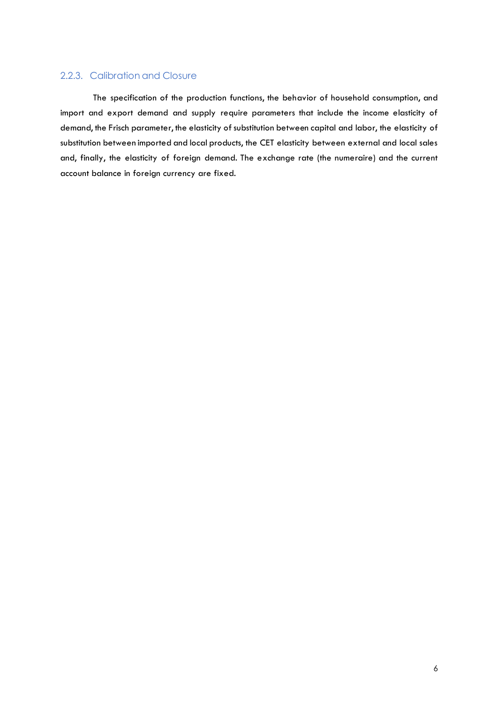## 2.2.3. Calibration and Closure

 The specification of the production functions, the behavior of household consumption, and import and export demand and supply require parameters that include the income elasticity of demand, the Frisch parameter, the elasticity of substitution between capital and labor, the elasticity of substitution between imported and local products, the CET elasticity between external and local sales and, finally, the elasticity of foreign demand. The exchange rate (the numeraire) and the current account balance in foreign currency are fixed.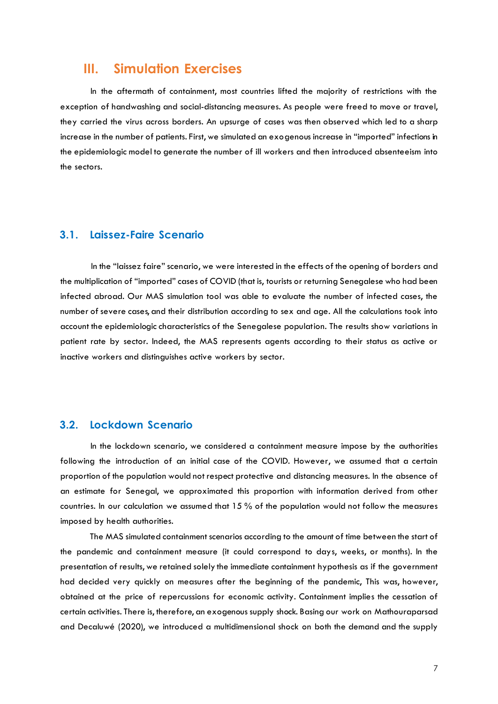## <span id="page-9-0"></span>**III. Simulation Exercises**

 In the aftermath of containment, most countries lifted the majority of restrictions with the exception of handwashing and social-distancing measures. As people were freed to move or travel, they carried the virus across borders. An upsurge of cases was then observed which led to a sharp increase in the number of patients. First, we simulated an exogenous increase in "imported" infections in the epidemiologic model to generate the number of ill workers and then introduced absenteeism into the sectors.

## <span id="page-9-1"></span>**3.1. Laissez-Faire Scenario**

 In the "laissez faire" scenario, we were interested in the effects of the opening of borders and the multiplication of "imported" cases of COVID (that is, tourists or returning Senegalese who had been infected abroad. Our MAS simulation tool was able to evaluate the number of infected cases, the number of severe cases, and their distribution according to sex and age. All the calculations took into account the epidemiologic characteristics of the Senegalese population. The results show variations in patient rate by sector. Indeed, the MAS represents agents according to their status as active or inactive workers and distinguishes active workers by sector.

## **3.2. Lockdown Scenario**

 In the lockdown scenario, we considered a containment measure impose by the authorities following the introduction of an initial case of the COVID. However, we assumed that a certain proportion of the population would not respect protective and distancing measures. In the absence of an estimate for Senegal, we approximated this proportion with information derived from other countries. In our calculation we assumed that 15 % of the population would not follow the measures imposed by health authorities.

 The MAS simulated containment scenarios according to the amount of time between the start of the pandemic and containment measure (it could correspond to days, weeks, or months). In the presentation of results, we retained solely the immediate containment hypothesis as if the government had decided very quickly on measures after the beginning of the pandemic, This was, however, obtained at the price of repercussions for economic activity. Containment implies the cessation of certain activities. There is, therefore, an exogenous supply shock. Basing our work on Mathouraparsad and Decaluwé (2020), we introduced a multidimensional shock on both the demand and the supply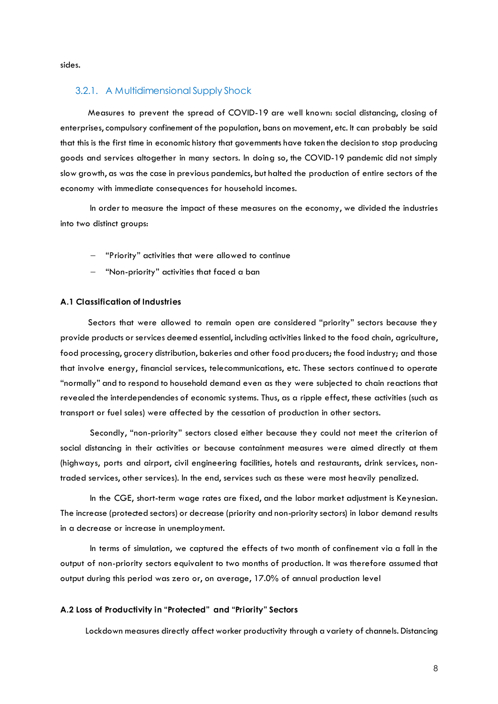sides.

#### 3.2.1. A Multidimensional Supply Shock

 Measures to prevent the spread of COVID-19 are well known: social distancing, closing of enterprises, compulsory confinement of the population, bans on movement, etc. It can probably be said that this is the first time in economic history that governments have taken the decision to stop producing goods and services altogether in many sectors. In doing so, the COVID-19 pandemic did not simply slow growth, as was the case in previous pandemics, but halted the production of entire sectors of the economy with immediate consequences for household incomes.

 In order to measure the impact of these measures on the economy, we divided the industries into two distinct groups:

- "Priority" activities that were allowed to continue
- "Non-priority" activities that faced a ban

#### **A.1 Classification of Industries**

 Sectors that were allowed to remain open are considered "priority" sectors because they provide products or services deemed essential, including activities linked to the food chain, agriculture, food processing, grocery distribution, bakeries and other food producers; the food industry; and those that involve energy, financial services, telecommunications, etc. These sectors continued to operate "normally" and to respond to household demand even as they were subjected to chain reactions that revealed the interdependencies of economic systems. Thus, as a ripple effect, these activities (such as transport or fuel sales) were affected by the cessation of production in other sectors.

Secondly, "non-priority" sectors closed either because they could not meet the criterion of social distancing in their activities or because containment measures were aimed directly at them (highways, ports and airport, civil engineering facilities, hotels and restaurants, drink services, nontraded services, other services). In the end, services such as these were most heavily penalized.

 In the CGE, short-term wage rates are fixed, and the labor market adjustment is Keynesian. The increase (protected sectors) or decrease (priority and non-priority sectors) in labor demand results in a decrease or increase in unemployment.

In terms of simulation, we captured the effects of two month of confinement via a fall in the output of non-priority sectors equivalent to two months of production. It was therefore assumed that output during this period was zero or, on average, 17.0% of annual production level

#### **A.2 Loss of Productivity in "Protected" and "Priority" Sectors**

Lockdown measures directly affect worker productivity through a variety of channels. Distancing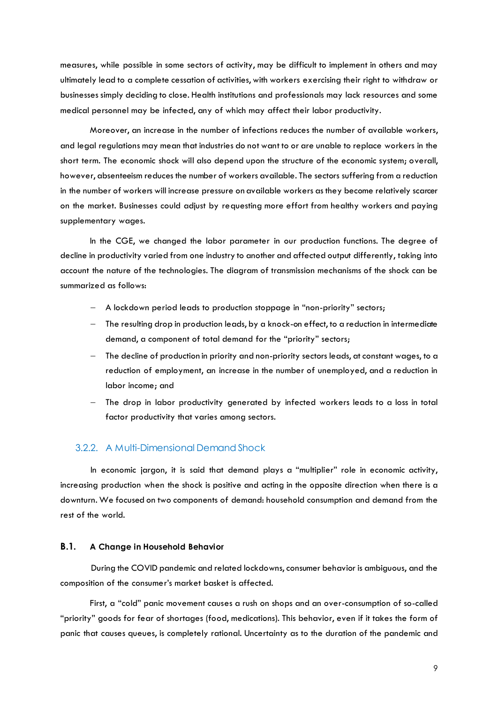measures, while possible in some sectors of activity, may be difficult to implement in others and may ultimately lead to a complete cessation of activities, with workers exercising their right to withdraw or businesses simply deciding to close. Health institutions and professionals may lack resources and some medical personnel may be infected, any of which may affect their labor productivity.

 Moreover, an increase in the number of infections reduces the number of available workers, and legal regulations may mean that industries do not want to or are unable to replace workers in the short term. The economic shock will also depend upon the structure of the economic system; overall, however, absenteeism reduces the number of workers available. The sectors suffering from a reduction in the number of workers will increase pressure on available workers as they become relatively scarcer on the market. Businesses could adjust by requesting more effort from healthy workers and paying supplementary wages.

 In the CGE, we changed the labor parameter in our production functions. The degree of decline in productivity varied from one industry to another and affected output differently, taking into account the nature of the technologies. The diagram of transmission mechanisms of the shock can be summarized as follows:

- A lockdown period leads to production stoppage in "non-priority" sectors;
- The resulting drop in production leads, by a knock-on effect, to a reduction in intermediate demand, a component of total demand for the "priority" sectors;
- The decline of production in priority and non-priority sectors leads, at constant wages, to a reduction of employment, an increase in the number of unemployed, and a reduction in labor income; and
- The drop in labor productivity generated by infected workers leads to a loss in total factor productivity that varies among sectors.

#### 3.2.2. A Multi-Dimensional Demand Shock

 In economic jargon, it is said that demand plays a "multiplier" role in economic activity, increasing production when the shock is positive and acting in the opposite direction when there is a downturn. We focused on two components of demand: household consumption and demand from the rest of the world.

#### **B.1. A Change in Household Behavior**

 During the COVID pandemic and related lockdowns, consumer behavior is ambiguous, and the composition of the consumer's market basket is affected.

First, a "cold" panic movement causes a rush on shops and an over-consumption of so-called "priority" goods for fear of shortages (food, medications). This behavior, even if it takes the form of panic that causes queues, is completely rational. Uncertainty as to the duration of the pandemic and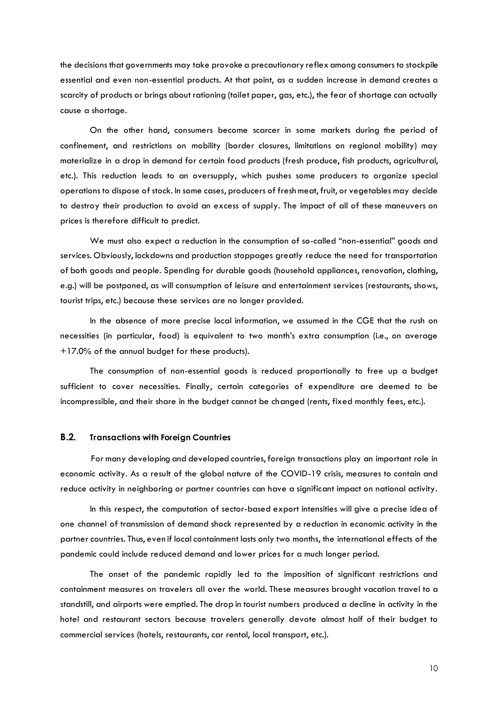the decisions that governments may take provoke a precautionary reflex among consumers to stockpile essential and even non-essential products. At that point, as a sudden increase in demand creates a scarcity of products or brings about rationing (toilet paper, gas, etc.), the fear of shortage can actually cause a shortage.

 On the other hand, consumers become scarcer in some markets during the period of confinement, and restrictions on mobility (border closures, limitations on regional mobility) may materialize in a drop in demand for certain food products (fresh produce, fish products, agricultural, etc.). This reduction leads to an oversupply, which pushes some producers to organize special operations to dispose of stock. In some cases, producers of fresh meat, fruit, or vegetables may decide to destroy their production to avoid an excess of supply. The impact of all of these maneuvers on prices is therefore difficult to predict.

 We must also expect a reduction in the consumption of so-called "non-essential" goods and services. Obviously, lockdowns and production stoppages greatly reduce the need for transportation of both goods and people. Spending for durable goods (household appliances, renovation, clothing, e.g.) will be postponed, as will consumption of leisure and entertainment services (restaurants, shows, tourist trips, etc.) because these services are no longer provided.

 In the absence of more precise local information, we assumed in the CGE that the rush on necessities (in particular, food) is equivalent to two month's extra consumption (i.e., on average +17.0% of the annual budget for these products).

 The consumption of non-essential goods is reduced proportionally to free up a budget sufficient to cover necessities. Finally, certain categories of expenditure are deemed to be incompressible, and their share in the budget cannot be changed (rents, fixed monthly fees, etc.).

#### **B.2. Transactions with Foreign Countries**

 For many developing and developed countries, foreign transactions play an important role in economic activity. As a result of the global nature of the COVID-19 crisis, measures to contain and reduce activity in neighboring or partner countries can have a significant impact on national activity.

 In this respect, the computation of sector-based export intensities will give a precise idea of one channel of transmission of demand shock represented by a reduction in economic activity in the partner countries. Thus, even if local containment lasts only two months, the international effects of the pandemic could include reduced demand and lower prices for a much longer period.

 The onset of the pandemic rapidly led to the imposition of significant restrictions and containment measures on travelers all over the world. These measures brought vacation travel to a standstill, and airports were emptied. The drop in tourist numbers produced a decline in activity in the hotel and restaurant sectors because travelers generally devote almost half of their budget to commercial services (hotels, restaurants, car rental, local transport, etc.).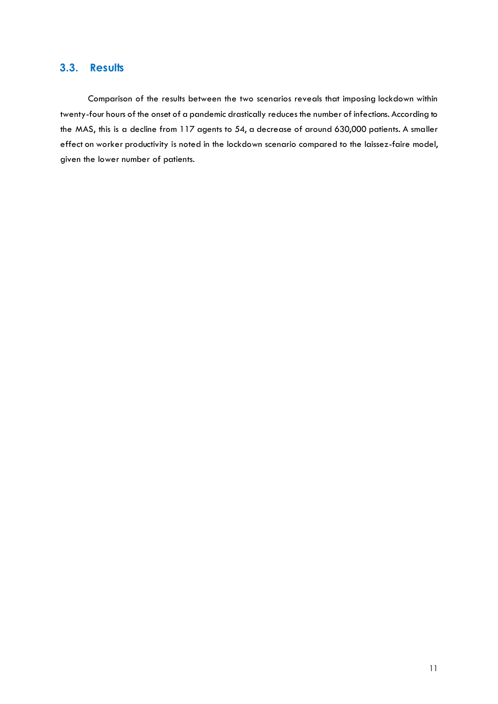## <span id="page-13-0"></span>**3.3. Results**

 Comparison of the results between the two scenarios reveals that imposing lockdown within twenty-four hours of the onset of a pandemic drastically reduces the number of infections. According to the MAS, this is a decline from 117 agents to 54, a decrease of around 630,000 patients. A smaller effect on worker productivity is noted in the lockdown scenario compared to the laissez-faire model, given the lower number of patients.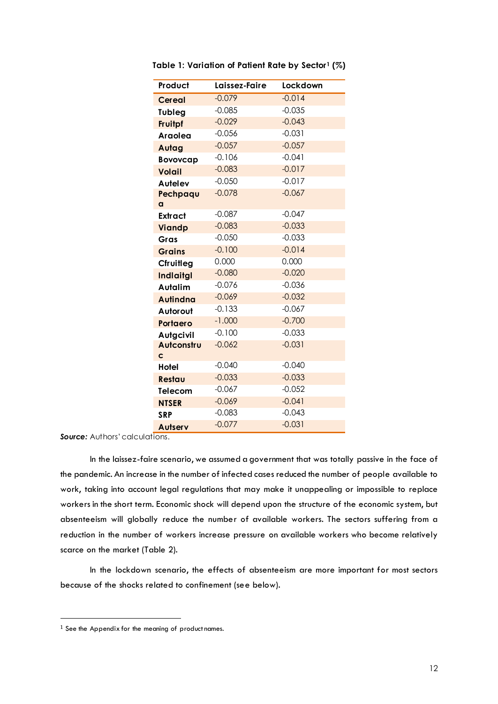| Product          | Laissez-Faire | Lockdown |
|------------------|---------------|----------|
| <b>Cereal</b>    | $-0.079$      | $-0.014$ |
| <b>Tubleg</b>    | $-0.085$      | $-0.035$ |
| Fruitpf          | $-0.029$      | $-0.043$ |
| <b>Araolea</b>   | $-0.056$      | $-0.031$ |
| Autag            | $-0.057$      | $-0.057$ |
| <b>Bovovcap</b>  | $-0.106$      | $-0.041$ |
| <b>Volail</b>    | $-0.083$      | $-0.017$ |
| <b>Autelev</b>   | $-0.050$      | $-0.017$ |
| Pechpaqu         | $-0.078$      | $-0.067$ |
| a                |               |          |
| <b>Extract</b>   | $-0.087$      | $-0.047$ |
| <b>Viandp</b>    | $-0.083$      | $-0.033$ |
| Gras             | $-0.050$      | $-0.033$ |
| <b>Grains</b>    | $-0.100$      | $-0.014$ |
| Cfruitleg        | 0.000         | 0.000    |
| <b>Indiaitgl</b> | $-0.080$      | $-0.020$ |
| Autalim          | $-0.076$      | $-0.036$ |
| <b>Autindna</b>  | $-0.069$      | $-0.032$ |
| Autorout         | $-0.133$      | $-0.067$ |
| Portaero         | $-1.000$      | $-0.700$ |
| <b>Autgcivil</b> | $-0.100$      | $-0.033$ |
| Autconstru       | $-0.062$      | $-0.031$ |
| C                |               |          |
| Hotel            | $-0.040$      | $-0.040$ |
| Restau           | $-0.033$      | $-0.033$ |
| Telecom          | $-0.067$      | $-0.052$ |
| <b>NTSER</b>     | $-0.069$      | $-0.041$ |
| <b>SRP</b>       | $-0.083$      | $-0.043$ |
| <b>Autserv</b>   | $-0.077$      | $-0.031$ |

<span id="page-14-0"></span>**Table 1: Variation of Patient Rate by Sector1 (%)** 

In the laissez-faire scenario, we assumed a government that was totally passive in the face of the pandemic. An increase in the number of infected cases reduced the number of people available to work, taking into account legal regulations that may make it unappealing or impossible to replace workers in the short term. Economic shock will depend upon the structure of the economic system, but absenteeism will globally reduce the number of available workers. The sectors suffering from a reduction in the number of workers increase pressure on available workers who become relatively scarce on the market (Table 2).

 In the lockdown scenario, the effects of absenteeism are more important for most sectors because of the shocks related to confinement (see below).

 $\overline{a}$ 

 $1$  See the Appendix for the meaning of product names.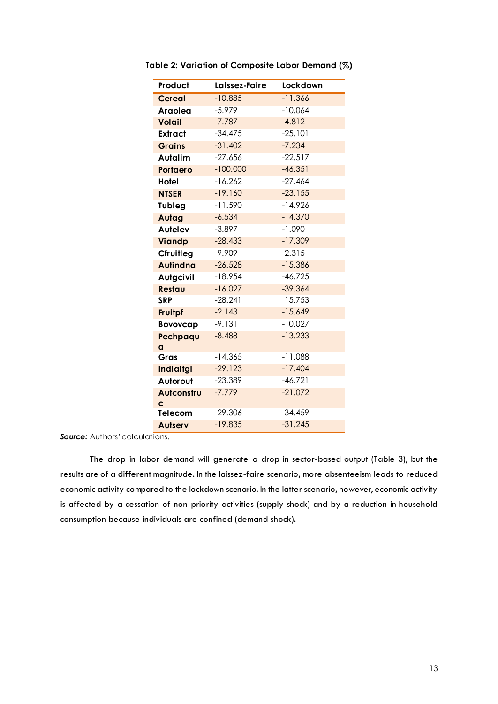| Product          | Laissez-Faire | Lockdown  |
|------------------|---------------|-----------|
| <b>Cereal</b>    | $-10.885$     | $-11.366$ |
| Araolea          | $-5.979$      | $-10.064$ |
| <b>Volail</b>    | $-7.787$      | $-4.812$  |
| Extract          | $-34.475$     | $-25.101$ |
| <b>Grains</b>    | $-31.402$     | $-7.234$  |
| Autalim          | $-27.656$     | $-22.517$ |
| Portaero         | $-100.000$    | $-46.351$ |
| Hotel            | $-16.262$     | $-27.464$ |
| <b>NTSER</b>     | $-19.160$     | $-23.155$ |
| Tubleg           | $-11.590$     | $-14.926$ |
| Autag            | $-6.534$      | $-14.370$ |
| Autelev          | $-3.897$      | $-1.090$  |
| Viandp           | $-28.433$     | $-17.309$ |
| Cfruitleg        | 9.909         | 2.315     |
| <b>Autindna</b>  | $-26.528$     | $-15.386$ |
| Autgcivil        | $-18.954$     | $-46.725$ |
| Restau           | $-16.027$     | $-39.364$ |
| <b>SRP</b>       | $-28.241$     | 15.753    |
| Fruitpf          | $-2.143$      | $-15.649$ |
| <b>Bovovcap</b>  | $-9.131$      | $-10.027$ |
| Pechpaqu         | $-8.488$      | $-13.233$ |
| a                |               |           |
| Gras             | $-14.365$     | $-11.088$ |
| <b>Indiaitgl</b> | $-29.123$     | $-17.404$ |
| Autorout         | $-23.389$     | $-46.721$ |
| Autconstru       | $-7.779$      | $-21.072$ |
| C<br>Telecom     | $-29.306$     | $-34.459$ |
| Autserv          | $-19.835$     | $-31.245$ |
|                  |               |           |

<span id="page-15-0"></span>**Table 2: Variation of Composite Labor Demand (%)** 

The drop in labor demand will generate a drop in sector-based output (Table 3), but the results are of a different magnitude. In the laissez-faire scenario, more absenteeism leads to reduced economic activity compared to the lockdown scenario. In the latter scenario, however, economic activity is affected by a cessation of non-priority activities (supply shock) and by a reduction in household consumption because individuals are confined (demand shock).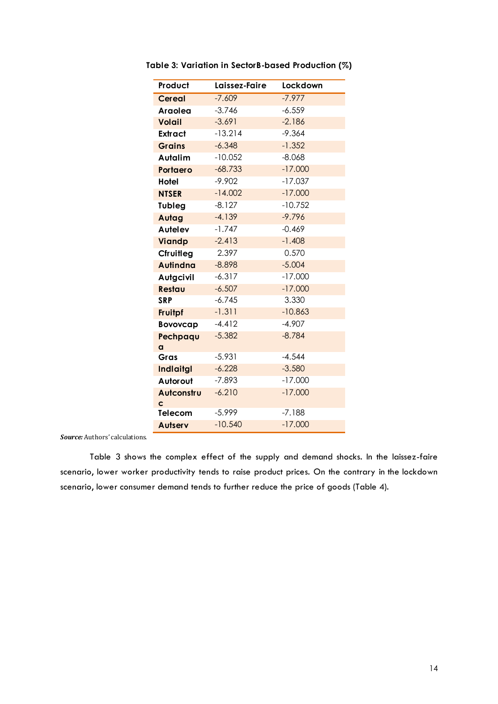| Product          | Laissez-Faire | Lockdown  |
|------------------|---------------|-----------|
| <b>Cereal</b>    | $-7.609$      | $-7.977$  |
| Araolea          | $-3.746$      | $-6.559$  |
| <b>Volail</b>    | $-3.691$      | $-2.186$  |
| Extract          | $-13.214$     | $-9.364$  |
| <b>Grains</b>    | $-6.348$      | $-1.352$  |
| Autalim          | $-10.052$     | $-8.068$  |
| Portaero         | $-68.733$     | $-17.000$ |
| Hotel            | $-9.902$      | $-17.037$ |
| <b>NTSER</b>     | $-14.002$     | $-17.000$ |
| Tubleg           | $-8.127$      | $-10.752$ |
| Autag            | $-4.139$      | $-9.796$  |
| Autelev          | $-1.747$      | $-0.469$  |
| <b>Viandp</b>    | $-2.413$      | $-1.408$  |
| Cfruitleg        | 2.397         | 0.570     |
| <b>Autindna</b>  | $-8.898$      | $-5.004$  |
| <b>Autgcivil</b> | $-6.317$      | $-17.000$ |
| Restau           | $-6.507$      | $-17.000$ |
| <b>SRP</b>       | $-6.745$      | 3.330     |
| Fruitpf          | $-1.311$      | $-10.863$ |
| <b>Bovovcap</b>  | $-4.412$      | $-4.907$  |
| Pechpaqu         | $-5.382$      | $-8.784$  |
| a                |               |           |
| Gras             | $-5.931$      | $-4.544$  |
| <b>Indiaitgl</b> | $-6.228$      | $-3.580$  |
| Autorout         | $-7.893$      | $-17.000$ |
| Autconstru<br>C  | $-6.210$      | $-17.000$ |
| Telecom          | $-5.999$      | $-7.188$  |
| Autserv          | $-10.540$     | $-17.000$ |

<span id="page-16-0"></span>**Table 3: Variation in SectorB-based Production (%)** 

Table 3 shows the complex effect of the supply and demand shocks. In the laissez-faire scenario, lower worker productivity tends to raise product prices. On the contrary in the lockdown scenario, lower consumer demand tends to further reduce the price of goods (Table 4).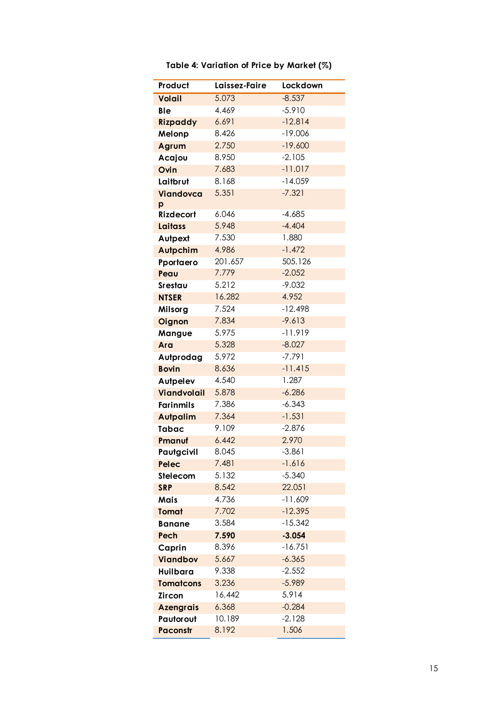<span id="page-17-0"></span>

| Product            | Laissez-Faire | <b>Lockdown</b> |
|--------------------|---------------|-----------------|
| <b>Volail</b>      | 5.073         | $-8.537$        |
| <b>Ble</b>         | 4.469         | $-5.910$        |
| <b>Rizpaddy</b>    | 6.691         | $-12.814$       |
| Melonp             | 8.426         | $-19.006$       |
| Agrum              | 2.750         | $-19.600$       |
| Acajou             | 8.950         | $-2.105$        |
| Ovin               | 7.683         | $-11.017$       |
| Laitbrut           | 8.168         | $-14.059$       |
| Viandovca          | 5.351         | $-7.321$        |
| p                  |               |                 |
| <b>Rizdecort</b>   | 6.046         | $-4.685$        |
| <b>Laitass</b>     | 5.948         | $-4.404$        |
| Autpext            | 7.530         | 1.880           |
| <b>Autpchim</b>    | 4.986         | $-1.472$        |
| Pportaero          | 201.657       | 505.126         |
| Peau               | 7.779         | $-2.052$        |
| Srestau            | 5.212         | $-9.032$        |
| <b>NTSER</b>       | 16.282        | 4.952           |
| Milsorg            | 7.524         | $-12.498$       |
| Oignon             | 7.834         | $-9.613$        |
| Mangue             | 5.975         | $-11.919$       |
| Ara                | 5.328         | $-8.027$        |
| Autprodag          | 5.972         | $-7.791$        |
| <b>Bovin</b>       | 8.636         | $-11.415$       |
| <b>Autpelev</b>    | 4.540         | 1.287           |
| <b>Viandvolail</b> | 5.878         | $-6.286$        |
| <b>Farinmils</b>   | 7.386         | $-6.343$        |
| <b>Autpalim</b>    | 7.364         | $-1.531$        |
| <b>Tabac</b>       | 9.109         | $-2.876$        |
| Pmanuf             | 6.442         | 2.970           |
| Pautgcivil         | 8.045         | $-3.861$        |
| Pelec              | 7.481         | $-1.616$        |
| Stelecom           | 5.132         | $-5.340$        |
| <b>SRP</b>         | 8.542         | 22.051          |
| <b>Mais</b>        | 4.736         | $-11.609$       |
| Tomat              | 7.702         | $-12.395$       |
| <b>Banane</b>      | 3.584         | $-15.342$       |
| Pech               | 7.590         | $-3.054$        |
| Caprin             | 8.396         | $-16.751$       |
| <b>Viandbov</b>    | 5.667         | $-6.365$        |
| Huilbara           | 9.338         | $-2.552$        |
| <b>Tomatcons</b>   | 3.236         | $-5.989$        |
| Zircon             | 16.442        | 5.914           |
| <b>Azengrais</b>   | 6.368         | $-0.284$        |
| Pautorout          | 10.189        | $-2.128$        |
| <b>Paconstr</b>    | 8.192         | 1.506           |

## **Table 4: Variation of Price by Market (%)**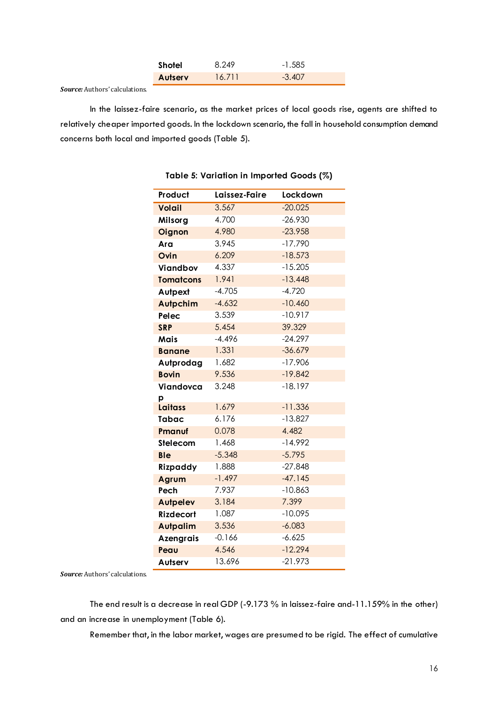| Shotel         | 8.249  | $-1.585$ |
|----------------|--------|----------|
| <b>Autsery</b> | 16.711 | $-3.407$ |

<span id="page-18-0"></span>In the laissez-faire scenario, as the market prices of local goods rise, agents are shifted to relatively cheaper imported goods. In the lockdown scenario, the fall in household consumption demand concerns both local and imported goods (Table 5).

| Product          | Laissez-Faire | Lockdown  |
|------------------|---------------|-----------|
| Volail           | 3.567         | $-20.025$ |
| Milsorg          | 4.700         | $-26.930$ |
| Oignon           | 4.980         | $-23.958$ |
| Ara              | 3.945         | $-17.790$ |
| Ovin             | 6.209         | $-18.573$ |
| Viandbov         | 4.337         | $-15.205$ |
| <b>Tomatcons</b> | 1.941         | $-13.448$ |
| Autpext          | $-4.705$      | $-4.720$  |
| <b>Autpchim</b>  | $-4.632$      | $-10.460$ |
| Pelec            | 3.539         | $-10.917$ |
| <b>SRP</b>       | 5.454         | 39.329    |
| Mais             | $-4.496$      | $-24.297$ |
| <b>Banane</b>    | 1.331         | $-36.679$ |
| Autprodag        | 1.682         | $-17.906$ |
| <b>Bovin</b>     | 9.536         | $-19.842$ |
| Viandovca        | 3.248         | $-18.197$ |
| р                |               |           |
| <b>Laitass</b>   | 1.679         | $-11.336$ |
| <b>Tabac</b>     | 6.176         | $-13.827$ |
| Pmanuf           | 0.078         | 4.482     |
| Stelecom         | 1.468         | $-14.992$ |
| <b>Ble</b>       | $-5.348$      | $-5.795$  |
| Rizpaddy         | 1.888         | $-27.848$ |
| Agrum            | $-1.497$      | $-47.145$ |
| Pech             | 7.937         | $-10.863$ |
| <b>Autpelev</b>  | 3.184         | 7.399     |
| <b>Rizdecort</b> | 1.087         | $-10.095$ |
| <b>Autpalim</b>  | 3.536         | $-6.083$  |
| <b>Azengrais</b> | $-0.166$      | $-6.625$  |
| Peau             | 4.546         | $-12.294$ |
| Autserv          | 13.696        | $-21.973$ |

#### **Table 5: Variation in Imported Goods (%)**

*Source:* Authors' calculations.

The end result is a decrease in real GDP (-9.173 % in laissez-faire and-11.159% in the other) and an increase in unemployment (Table 6).

Remember that, in the labor market, wages are presumed to be rigid. The effect of cumulative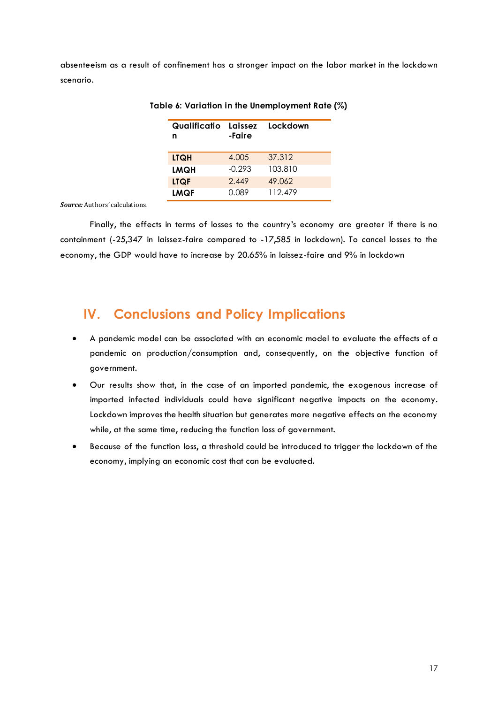<span id="page-19-1"></span>absenteeism as a result of confinement has a stronger impact on the labor market in the lockdown scenario.

| Qualificatio Laissez<br>n | -Faire   | Lockdown |
|---------------------------|----------|----------|
| <b>LTQH</b>               | 4.005    | 37.312   |
| <b>LMQH</b>               | $-0.293$ | 103.810  |
| <b>LTQF</b>               | 2.449    | 49.062   |
| <b>LMQF</b>               | N 089    | 112 479  |

**Table 6: Variation in the Unemployment Rate (%)** 

*Source:* Authors' calculations.

Finally, the effects in terms of losses to the country's economy are greater if there is no containment (-25,347 in laissez-faire compared to -17,585 in lockdown). To cancel losses to the economy, the GDP would have to increase by 20.65% in laissez-faire and 9% in lockdown

## <span id="page-19-0"></span>**IV. Conclusions and Policy Implications**

- A pandemic model can be associated with an economic model to evaluate the effects of a pandemic on production/consumption and, consequently, on the objective function of government.
- Our results show that, in the case of an imported pandemic, the exogenous increase of imported infected individuals could have significant negative impacts on the economy. Lockdown improves the health situation but generates more negative effects on the economy while, at the same time, reducing the function loss of government.
- Because of the function loss, a threshold could be introduced to trigger the lockdown of the economy, implying an economic cost that can be evaluated.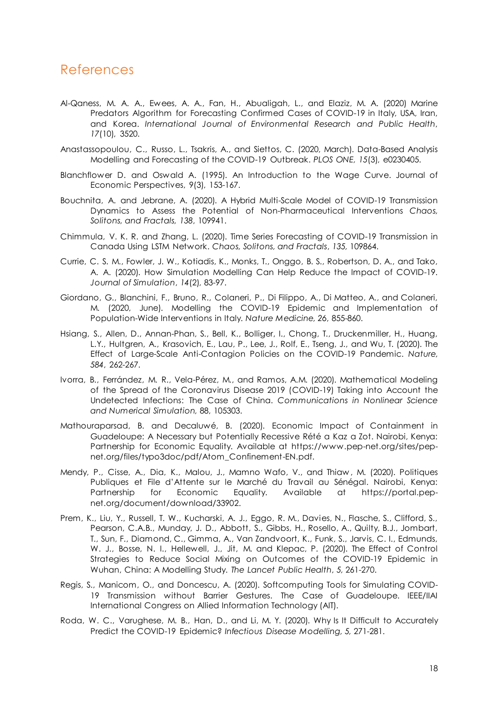## <span id="page-20-0"></span>References

- Al-Qaness, M. A. A., Ewees, A. A., Fan, H., Abualigah, L., and Elaziz, M. A. (2020) Marine Predators Algorithm for Forecasting Confirmed Cases of COVID-19 in Italy, USA, Iran, and Korea. *International Journal of Environmental Research and Public Health*, *17*(10), 3520.
- Anastassopoulou, C., Russo, L., Tsakris, A., and Siettos, C. (2020, March). Data-Based Analysis Modelling and Forecasting of the COVID-19 Outbreak. *PLOS ONE, 15*(3), e0230405.
- Blanchflower D. and Oswald A. (1995). An Introduction to the Wage Curve. Journal of Economic Perspectives, 9(3), 153-167.
- Bouchnita, A. and Jebrane, A. (2020). A Hybrid Multi-Scale Model of COVID-19 Transmission Dynamics to Assess the Potential of Non-Pharmaceutical Interventions *Chaos, Solitons, and Fractals, 138*, 109941.
- Chimmula, V. K. R. and Zhang, L. (2020). Time Series Forecasting of COVID-19 Transmission in Canada Using LSTM Network. *Chaos, Solitons, and Fractals*, *135,* 109864.
- Currie, C. S. M., Fowler, J. W., Kotiadis, K., Monks, T., Onggo, B. S., Robertson, D. A., and Tako, A. A. (2020). How Simulation Modelling Can Help Reduce the Impact of COVID-19. *Journal of Simulation*, *14*(2), 83-97.
- Giordano, G., Blanchini, F., Bruno, R., Colaneri, P., Di Filippo, A., Di Matteo, A., and Colaneri, M. (2020, June). Modelling the COVID-19 Epidemic and Implementation of Population-Wide Interventions in Italy. *Nature Medicine, 26*, 855-860.
- Hsiang, S., Allen, D., Annan-Phan, S., Bell, K., Bolliger, I., Chong, T., Druckenmiller, H., Huang, L.Y., Hultgren, A., Krasovich, E., Lau, P., Lee, J., Rolf, E., Tseng, J., and Wu, T. (2020). The Effect of Large-Scale Anti-Contagion Policies on the COVID-19 Pandemic. *Nature, 584*, 262-267.
- Ivorra, B., Ferrández, M. R., Vela-Pérez, M., and Ramos, A.M. (2020). Mathematical Modeling of the Spread of the Coronavirus Disease 2019 (COVID-19) Taking into Account the Undetected Infections: The Case of China. *Communications in Nonlinear Science and Numerical Simulation,* 88, 105303.
- Mathouraparsad, B. and Decaluwé, B. (2020). Economic Impact of Containment in Guadeloupe: A Necessary but Potentially Recessive Rété a Kaz a Zot. Nairobi, Kenya: Partnership for Economic Equality. Available at https://www.pep-net.org/sites/pepnet.org/files/typo3doc/pdf/Atom\_Confinement-EN.pdf.
- Mendy, P., Cisse, A., Dia, K., Malou, J., Mamno Wafo, V., and Thiaw , M. (2020). Politiques Publiques et File d'Attente sur le Marché du Travail au Sénégal. Nairobi, Kenya: Partnership for Economic Equality. Available at https://portal.pepnet.org/document/download/33902.
- Prem, K., Liu, Y., Russell, T. W., Kucharski, A. J., Eggo, R. M., Davies, N., Flasche, S., Clifford, S., Pearson, C.A.B., Munday, J. D., Abbott, S., Gibbs, H., Rosello, A., Quilty, B.J., Jombart, T., Sun, F., Diamond, C., Gimma, A., Van Zandvoort, K., Funk, S., Jarvis, C. I., Edmunds, W. J., Bosse, N. I., Hellewell, J., Jit, M. and Klepac, P. (2020). The Effect of Control Strategies to Reduce Social Mixing on Outcomes of the COVID-19 Epidemic in Wuhan, China: A Modelling Study. *The Lancet Public Health*, *5,* 261-270.
- Regis, S., Manicom, O., and Doncescu, A. (2020). Softcomputing Tools for Simulating COVID-19 Transmission without Barrier Gestures. The Case of Guadeloupe. IEEE/IIAI International Congress on Allied Information Technology (AIT).
- Roda, W. C., Varughese, M. B., Han, D., and Li, M. Y. (2020). Why Is It Difficult to Accurately Predict the COVID-19 Epidemic? *Infectious Disease Modelling, 5,* 271-281.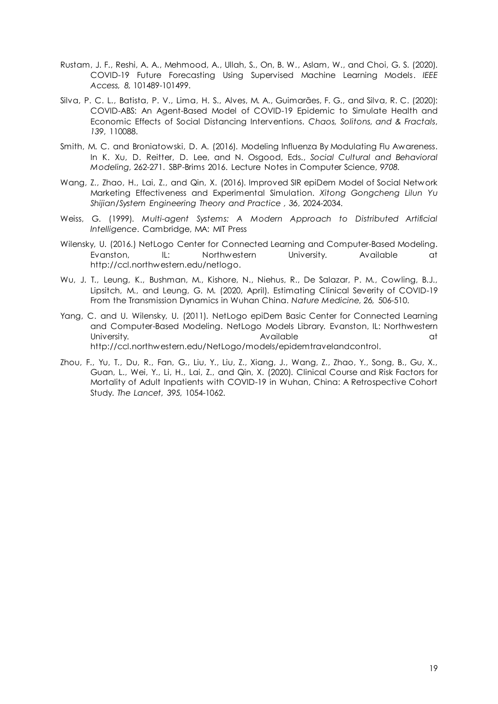- Rustam, J. F., Reshi, A. A., Mehmood, A., Ullah, S., On, B. W., Aslam, W., and Choi, G. S. (2020). COVID-19 Future Forecasting Using Supervised Machine Learning Models. *IEEE Access, 8,* 101489-101499.
- Silva, P. C. L., Batista, P. V., Lima, H. S., Alves, M. A., Guimarães, F. G., and Silva, R. C. (2020): COVID-ABS: An Agent-Based Model of COVID-19 Epidemic to Simulate Health and Economic Effects of Social Distancing Interventions. *Chaos, Solitons, and & Fractals*, *139*, 110088.
- Smith, M. C. and Broniatowski, D. A. (2016). Modeling Influenza By Modulating Flu Awareness. In K. Xu, D. Reitter, D. Lee, and N. Osgood, Eds., *Social Cultural and Behavioral Modeling,* 262-271. SBP-Brims 2016. Lecture Notes in Computer Science, *9708.*
- Wang, Z., Zhao, H., Lai, Z., and Qin, X. (2016). Improved SIR epiDem Model of Social Network Marketing Effectiveness and Experimental Simulation. *Xitong Gongcheng Lilun Yu Shijian/System Engineering Theory and Practice , 36*, 2024-2034.
- Weiss, G. (1999). *Multi-agent Systems: A Modern Approach to Distributed Artificial Intelligence*. Cambridge, MA: MIT Press
- Wilensky, U. (2016.) NetLogo Center for Connected Learning and Computer-Based Modeling. Evanston, IL: Northwestern University. Available at http://ccl.northwestern.edu/netlogo.
- Wu, J. T., Leung, K., Bushman, M., Kishore, N., Niehus, R., De Salazar, P. M., Cowling, B.J., Lipsitch, M., and Leung, G. M. (2020, April). Estimating Clinical Severity of COVID-19 From the Transmission Dynamics in Wuhan China. *Nature Medicine, 26,* 506-510.
- Yang, C. and U. Wilensky, U. (2011). NetLogo epiDem Basic Center for Connected Learning and Computer-Based Modeling. NetLogo Models Library. Evanston, IL: Northwestern University. Available at http://ccl.northwestern.edu/NetLogo/models/epidemtravelandcontrol.
- Zhou, F., Yu, T., Du, R., Fan, G., Liu, Y., Liu, Z., Xiang, J., Wang, Z., Zhao, Y., Song, B., Gu, X., Guan, L., Wei, Y., Li, H., Lai, Z., and Qin, X. (2020). Clinical Course and Risk Factors for Mortality of Adult Inpatients with COVID-19 in Wuhan, China: A Retrospective Cohort Study. *The Lancet, 395,* 1054-1062.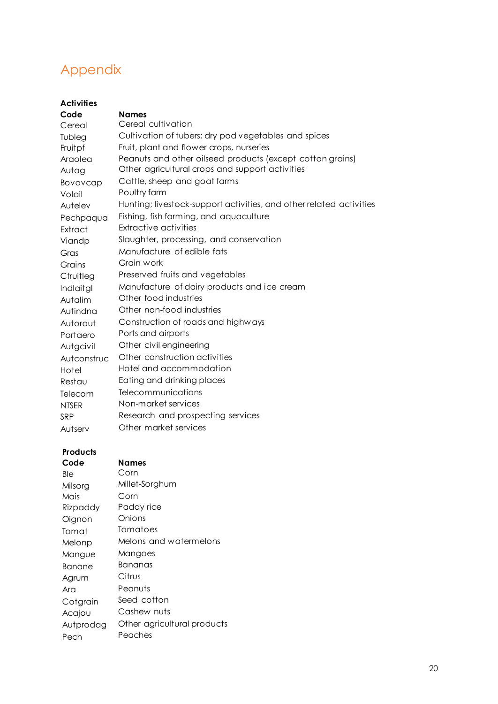# <span id="page-22-0"></span>Appendix

| <b>Activities</b> |                                                                     |
|-------------------|---------------------------------------------------------------------|
| Code              | <b>Names</b>                                                        |
| Cereal            | Cereal cultivation                                                  |
| Tubleg            | Cultivation of tubers; dry pod vegetables and spices                |
| Fruitpf           | Fruit, plant and flower crops, nurseries                            |
| Araolea           | Peanuts and other oilseed products (except cotton grains)           |
| Autag             | Other agricultural crops and support activities                     |
| Bovovcap          | Cattle, sheep and goat farms                                        |
| Volail            | Poultry farm                                                        |
| Autelev           | Hunting; livestock-support activities, and other related activities |
| Pechpaqua         | Fishing, fish farming, and aquaculture                              |
| Extract           | <b>Extractive activities</b>                                        |
| Viandp            | Slaughter, processing, and conservation                             |
| Gras              | Manufacture of edible fats                                          |
| Grains            | Grain work                                                          |
| Cfruitleg         | Preserved fruits and vegetables                                     |
| Indlaitgl         | Manufacture of dairy products and ice cream                         |
| Autalim           | Other food industries                                               |
| Autindna          | Other non-food industries                                           |
| Autorout          | Construction of roads and highways                                  |
| Portaero          | Ports and airports                                                  |
| Autgcivil         | Other civil engineering                                             |
| Autconstruc       | Other construction activities                                       |
| Hotel             | Hotel and accommodation                                             |
| Restau            | Eating and drinking places                                          |
| Telecom           | Telecommunications                                                  |
| <b>NTSER</b>      | Non-market services                                                 |
| <b>SRP</b>        | Research and prospecting services                                   |
| Autserv           | Other market services                                               |

## **Products**

| Code      | Names                       |
|-----------|-----------------------------|
| Ble       | Corn                        |
| Milsora   | Millet-Sorghum              |
| Mais      | Corn                        |
| Rizpaddy  | Paddy rice                  |
| Oignon    | Onions                      |
| Tomat     | Tomatoes                    |
| Melonp    | Melons and watermelons      |
| Mangue    | Mangoes                     |
| Banane    | Bananas                     |
| Agrum     | Citrus                      |
| Ara       | Peanuts                     |
| Cotgrain  | Seed cotton                 |
| Acajou    | Cashew nuts                 |
| Autprodag | Other agricultural products |
| Pech      | Peaches                     |